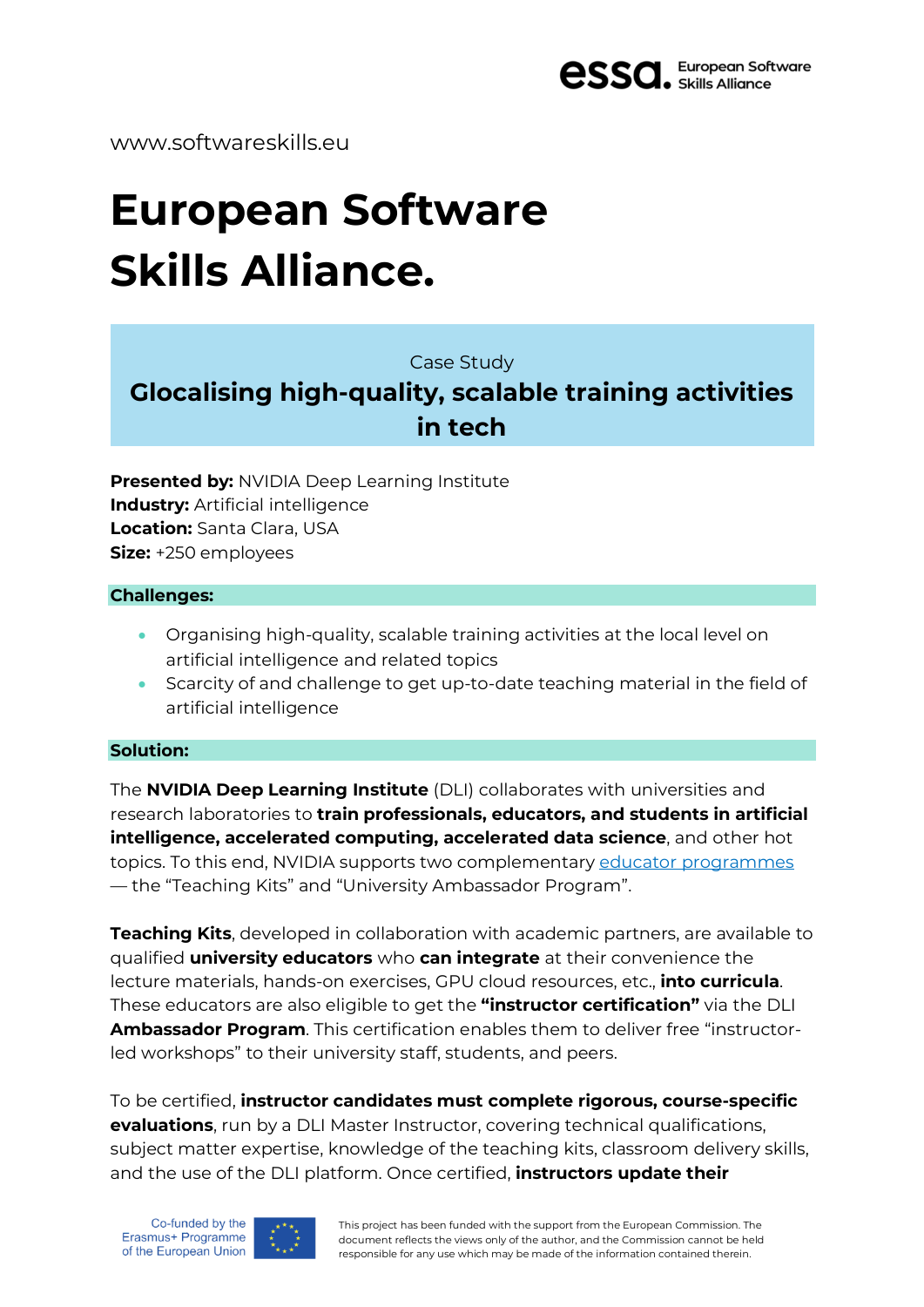

www.softwareskills.eu

# **European Software Skills Alliance.**

Case Study

## **Glocalising high-quality, scalable training activities in tech**

**Presented by:** NVIDIA Deep Learning Institute **Industry:** Artificial intelligence **Location:** Santa Clara, USA **Size:** +250 employees

#### **Challenges:**

- Organising high-quality, scalable training activities at the local level on artificial intelligence and related topics
- Scarcity of and challenge to get up-to-date teaching material in the field of artificial intelligence

### **Solution:**

The **NVIDIA Deep Learning Institute** (DLI) collaborates with universities and research laboratories to **train professionals, educators, and students in artificial intelligence, accelerated computing, accelerated data science**, and other hot topics. To this end, NVIDIA supports two complementary educator [programmes](https://www.nvidia.com/en-gb/training/educator-programs/) — the "Teaching Kits" and "University Ambassador Program".

**Teaching Kits**, developed in collaboration with academic partners, are available to qualified **university educators** who **can integrate** at their convenience the lecture materials, hands-on exercises, GPU cloud resources, etc., **into curricula**. These educators are also eligible to get the **"instructor certification"** via the DLI **Ambassador Program**. This certification enables them to deliver free "instructorled workshops" to their university staff, students, and peers.

To be certified, **instructor candidates must complete rigorous, course-specific evaluations**, run by a DLI Master Instructor, covering technical qualifications, subject matter expertise, knowledge of the teaching kits, classroom delivery skills, and the use of the DLI platform. Once certified, **instructors update their**



This project has been funded with the support from the European Commission. The document reflects the views only of the author, and the Commission cannot be held responsible for any use which may be made of the information contained therein.